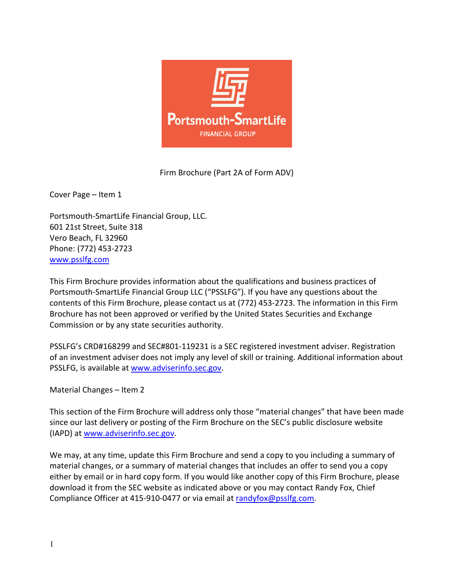

Firm Brochure (Part 2A of Form ADV)

Cover Page – Item 1

Portsmouth-SmartLife Financial Group, LLC. 601 21st Street, Suite 318 Vero Beach, FL 32960 Phone: (772) 453-2723 www.psslfg.com

This Firm Brochure provides information about the qualifications and business practices of Portsmouth-SmartLife Financial Group LLC ("PSSLFG"). If you have any questions about the contents of this Firm Brochure, please contact us at (772) 453-2723. The information in this Firm Brochure has not been approved or verified by the United States Securities and Exchange Commission or by any state securities authority.

PSSLFG's CRD#168299 and SEC#801-119231 is a SEC registered investment adviser. Registration of an investment adviser does not imply any level of skill or training. Additional information about PSSLFG, is available at www.adviserinfo.sec.gov.

Material Changes – Item 2

This section of the Firm Brochure will address only those "material changes" that have been made since our last delivery or posting of the Firm Brochure on the SEC's public disclosure website (IAPD) at www.adviserinfo.sec.gov.

We may, at any time, update this Firm Brochure and send a copy to you including a summary of material changes, or a summary of material changes that includes an offer to send you a copy either by email or in hard copy form. If you would like another copy of this Firm Brochure, please download it from the SEC website as indicated above or you may contact Randy Fox, Chief Compliance Officer at 415-910-0477 or via email at randyfox@psslfg.com.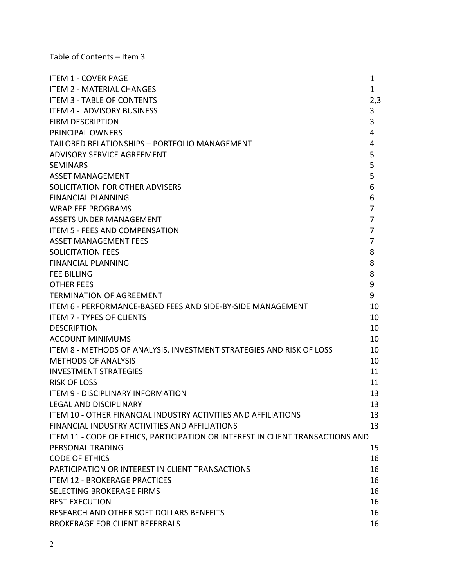Table of Contents – Item 3

| <b>ITEM 1 - COVER PAGE</b>                                                     | 1              |
|--------------------------------------------------------------------------------|----------------|
| <b>ITEM 2 - MATERIAL CHANGES</b>                                               | 1              |
| <b>ITEM 3 - TABLE OF CONTENTS</b>                                              | 2,3            |
| <b>ITEM 4 - ADVISORY BUSINESS</b>                                              | 3              |
| <b>FIRM DESCRIPTION</b>                                                        | 3              |
| PRINCIPAL OWNERS                                                               | 4              |
| TAILORED RELATIONSHIPS - PORTFOLIO MANAGEMENT                                  | 4              |
| ADVISORY SERVICE AGREEMENT                                                     | 5              |
| <b>SEMINARS</b>                                                                | 5              |
| <b>ASSET MANAGEMENT</b>                                                        | 5              |
| SOLICITATION FOR OTHER ADVISERS                                                | 6              |
| <b>FINANCIAL PLANNING</b>                                                      | 6              |
| <b>WRAP FEE PROGRAMS</b>                                                       | 7              |
| ASSETS UNDER MANAGEMENT                                                        | $\overline{7}$ |
| <b>ITEM 5 - FEES AND COMPENSATION</b>                                          | 7              |
| <b>ASSET MANAGEMENT FEES</b>                                                   | 7              |
| <b>SOLICITATION FEES</b>                                                       | 8              |
| <b>FINANCIAL PLANNING</b>                                                      | 8              |
| <b>FEE BILLING</b>                                                             | 8              |
| <b>OTHER FEES</b>                                                              | 9              |
| <b>TERMINATION OF AGREEMENT</b>                                                | 9              |
| ITEM 6 - PERFORMANCE-BASED FEES AND SIDE-BY-SIDE MANAGEMENT                    | 10             |
| <b>ITEM 7 - TYPES OF CLIENTS</b>                                               | 10             |
| <b>DESCRIPTION</b>                                                             | 10             |
| <b>ACCOUNT MINIMUMS</b>                                                        | 10             |
| ITEM 8 - METHODS OF ANALYSIS, INVESTMENT STRATEGIES AND RISK OF LOSS           | 10             |
| <b>METHODS OF ANALYSIS</b>                                                     | 10             |
| <b>INVESTMENT STRATEGIES</b>                                                   | 11             |
| <b>RISK OF LOSS</b>                                                            | 11             |
| <b>ITEM 9 - DISCIPLINARY INFORMATION</b>                                       | 13             |
| LEGAL AND DISCIPLINARY                                                         | 13             |
| <b>ITEM 10 - OTHER FINANCIAL INDUSTRY ACTIVITIES AND AFFILIATIONS</b>          | 13             |
| FINANCIAL INDUSTRY ACTIVITIES AND AFFILIATIONS                                 | 13             |
| ITEM 11 - CODE OF ETHICS, PARTICIPATION OR INTEREST IN CLIENT TRANSACTIONS AND |                |
| PERSONAL TRADING                                                               | 15             |
| <b>CODE OF ETHICS</b>                                                          | 16             |
| PARTICIPATION OR INTEREST IN CLIENT TRANSACTIONS                               | 16             |
| <b>ITEM 12 - BROKERAGE PRACTICES</b>                                           | 16             |
| SELECTING BROKERAGE FIRMS                                                      | 16             |
| <b>BEST EXECUTION</b>                                                          | 16             |
| RESEARCH AND OTHER SOFT DOLLARS BENEFITS                                       | 16             |
| <b>BROKERAGE FOR CLIENT REFERRALS</b>                                          | 16             |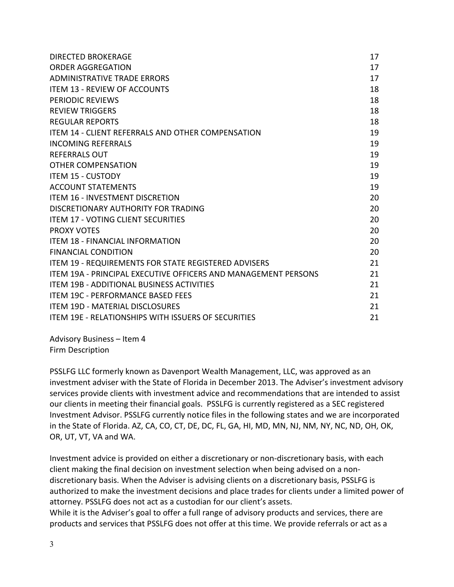| <b>DIRECTED BROKERAGE</b>                                             | 17 |
|-----------------------------------------------------------------------|----|
| <b>ORDER AGGREGATION</b>                                              | 17 |
| ADMINISTRATIVE TRADE ERRORS                                           | 17 |
| <b>ITEM 13 - REVIEW OF ACCOUNTS</b>                                   | 18 |
| <b>PERIODIC REVIEWS</b>                                               | 18 |
| <b>REVIEW TRIGGERS</b>                                                | 18 |
| <b>REGULAR REPORTS</b>                                                | 18 |
| ITEM 14 - CLIENT REFERRALS AND OTHER COMPENSATION                     | 19 |
| INCOMING REFERRALS                                                    | 19 |
| <b>REFERRALS OUT</b>                                                  | 19 |
| <b>OTHER COMPENSATION</b>                                             | 19 |
| <b>ITEM 15 - CUSTODY</b>                                              | 19 |
| <b>ACCOUNT STATEMENTS</b>                                             | 19 |
| <b>ITEM 16 - INVESTMENT DISCRETION</b>                                | 20 |
| DISCRETIONARY AUTHORITY FOR TRADING                                   | 20 |
| <b>ITEM 17 - VOTING CLIENT SECURITIES</b>                             | 20 |
| <b>PROXY VOTES</b>                                                    | 20 |
| ITEM 18 - FINANCIAL INFORMATION                                       | 20 |
| <b>FINANCIAL CONDITION</b>                                            | 20 |
| ITEM 19 - REQUIREMENTS FOR STATE REGISTERED ADVISERS                  | 21 |
| <b>ITEM 19A - PRINCIPAL EXECUTIVE OFFICERS AND MANAGEMENT PERSONS</b> | 21 |
| <b>ITEM 19B - ADDITIONAL BUSINESS ACTIVITIES</b>                      | 21 |
| <b>ITEM 19C - PERFORMANCE BASED FEES</b>                              | 21 |
| <b>ITEM 19D - MATERIAL DISCLOSURES</b>                                | 21 |
| <b>ITEM 19E - RELATIONSHIPS WITH ISSUERS OF SECURITIES</b>            | 21 |

Advisory Business – Item 4 Firm Description

PSSLFG LLC formerly known as Davenport Wealth Management, LLC, was approved as an investment adviser with the State of Florida in December 2013. The Adviser's investment advisory services provide clients with investment advice and recommendations that are intended to assist our clients in meeting their financial goals. PSSLFG is currently registered as a SEC registered Investment Advisor. PSSLFG currently notice files in the following states and we are incorporated in the State of Florida. AZ, CA, CO, CT, DE, DC, FL, GA, HI, MD, MN, NJ, NM, NY, NC, ND, OH, OK, OR, UT, VT, VA and WA.

Investment advice is provided on either a discretionary or non-discretionary basis, with each client making the final decision on investment selection when being advised on a nondiscretionary basis. When the Adviser is advising clients on a discretionary basis, PSSLFG is authorized to make the investment decisions and place trades for clients under a limited power of attorney. PSSLFG does not act as a custodian for our client's assets.

While it is the Adviser's goal to offer a full range of advisory products and services, there are products and services that PSSLFG does not offer at this time. We provide referrals or act as a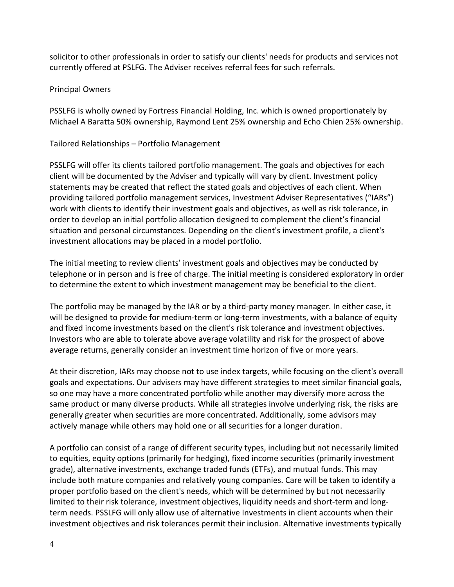solicitor to other professionals in order to satisfy our clients' needs for products and services not currently offered at PSLFG. The Adviser receives referral fees for such referrals.

#### Principal Owners

PSSLFG is wholly owned by Fortress Financial Holding, Inc. which is owned proportionately by Michael A Baratta 50% ownership, Raymond Lent 25% ownership and Echo Chien 25% ownership.

Tailored Relationships – Portfolio Management

PSSLFG will offer its clients tailored portfolio management. The goals and objectives for each client will be documented by the Adviser and typically will vary by client. Investment policy statements may be created that reflect the stated goals and objectives of each client. When providing tailored portfolio management services, Investment Adviser Representatives ("IARs") work with clients to identify their investment goals and objectives, as well as risk tolerance, in order to develop an initial portfolio allocation designed to complement the client's financial situation and personal circumstances. Depending on the client's investment profile, a client's investment allocations may be placed in a model portfolio.

The initial meeting to review clients' investment goals and objectives may be conducted by telephone or in person and is free of charge. The initial meeting is considered exploratory in order to determine the extent to which investment management may be beneficial to the client.

The portfolio may be managed by the IAR or by a third-party money manager. In either case, it will be designed to provide for medium-term or long-term investments, with a balance of equity and fixed income investments based on the client's risk tolerance and investment objectives. Investors who are able to tolerate above average volatility and risk for the prospect of above average returns, generally consider an investment time horizon of five or more years.

At their discretion, IARs may choose not to use index targets, while focusing on the client's overall goals and expectations. Our advisers may have different strategies to meet similar financial goals, so one may have a more concentrated portfolio while another may diversify more across the same product or many diverse products. While all strategies involve underlying risk, the risks are generally greater when securities are more concentrated. Additionally, some advisors may actively manage while others may hold one or all securities for a longer duration.

A portfolio can consist of a range of different security types, including but not necessarily limited to equities, equity options (primarily for hedging), fixed income securities (primarily investment grade), alternative investments, exchange traded funds (ETFs), and mutual funds. This may include both mature companies and relatively young companies. Care will be taken to identify a proper portfolio based on the client's needs, which will be determined by but not necessarily limited to their risk tolerance, investment objectives, liquidity needs and short-term and longterm needs. PSSLFG will only allow use of alternative Investments in client accounts when their investment objectives and risk tolerances permit their inclusion. Alternative investments typically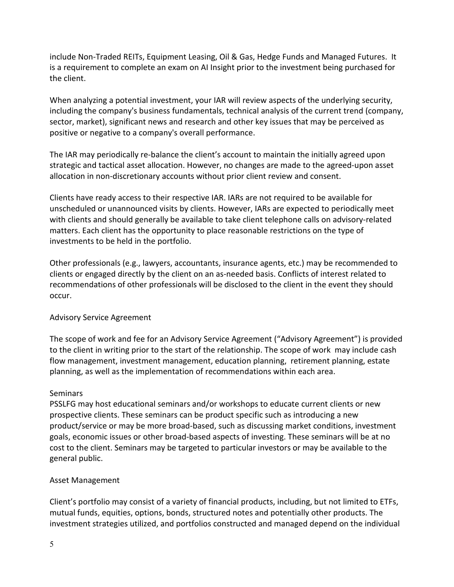include Non-Traded REITs, Equipment Leasing, Oil & Gas, Hedge Funds and Managed Futures. It is a requirement to complete an exam on AI Insight prior to the investment being purchased for the client.

When analyzing a potential investment, your IAR will review aspects of the underlying security, including the company's business fundamentals, technical analysis of the current trend (company, sector, market), significant news and research and other key issues that may be perceived as positive or negative to a company's overall performance.

The IAR may periodically re-balance the client's account to maintain the initially agreed upon strategic and tactical asset allocation. However, no changes are made to the agreed-upon asset allocation in non-discretionary accounts without prior client review and consent.

Clients have ready access to their respective IAR. IARs are not required to be available for unscheduled or unannounced visits by clients. However, IARs are expected to periodically meet with clients and should generally be available to take client telephone calls on advisory-related matters. Each client has the opportunity to place reasonable restrictions on the type of investments to be held in the portfolio.

Other professionals (e.g., lawyers, accountants, insurance agents, etc.) may be recommended to clients or engaged directly by the client on an as-needed basis. Conflicts of interest related to recommendations of other professionals will be disclosed to the client in the event they should occur.

# Advisory Service Agreement

The scope of work and fee for an Advisory Service Agreement ("Advisory Agreement") is provided to the client in writing prior to the start of the relationship. The scope of work may include cash flow management, investment management, education planning, retirement planning, estate planning, as well as the implementation of recommendations within each area.

### **Seminars**

PSSLFG may host educational seminars and/or workshops to educate current clients or new prospective clients. These seminars can be product specific such as introducing a new product/service or may be more broad-based, such as discussing market conditions, investment goals, economic issues or other broad-based aspects of investing. These seminars will be at no cost to the client. Seminars may be targeted to particular investors or may be available to the general public.

### Asset Management

Client's portfolio may consist of a variety of financial products, including, but not limited to ETFs, mutual funds, equities, options, bonds, structured notes and potentially other products. The investment strategies utilized, and portfolios constructed and managed depend on the individual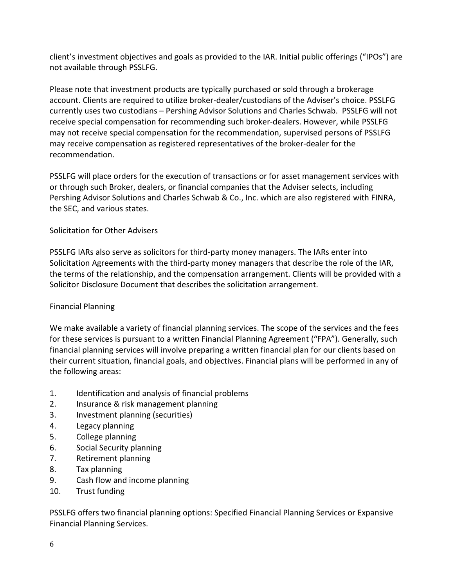client's investment objectives and goals as provided to the IAR. Initial public offerings ("IPOs") are not available through PSSLFG.

Please note that investment products are typically purchased or sold through a brokerage account. Clients are required to utilize broker-dealer/custodians of the Adviser's choice. PSSLFG currently uses two custodians – Pershing Advisor Solutions and Charles Schwab. PSSLFG will not receive special compensation for recommending such broker-dealers. However, while PSSLFG may not receive special compensation for the recommendation, supervised persons of PSSLFG may receive compensation as registered representatives of the broker-dealer for the recommendation.

PSSLFG will place orders for the execution of transactions or for asset management services with or through such Broker, dealers, or financial companies that the Adviser selects, including Pershing Advisor Solutions and Charles Schwab & Co., Inc. which are also registered with FINRA, the SEC, and various states.

# Solicitation for Other Advisers

PSSLFG IARs also serve as solicitors for third-party money managers. The IARs enter into Solicitation Agreements with the third-party money managers that describe the role of the IAR, the terms of the relationship, and the compensation arrangement. Clients will be provided with a Solicitor Disclosure Document that describes the solicitation arrangement.

### Financial Planning

We make available a variety of financial planning services. The scope of the services and the fees for these services is pursuant to a written Financial Planning Agreement ("FPA"). Generally, such financial planning services will involve preparing a written financial plan for our clients based on their current situation, financial goals, and objectives. Financial plans will be performed in any of the following areas:

- 1. Identification and analysis of financial problems
- 2. Insurance & risk management planning
- 3. Investment planning (securities)
- 4. Legacy planning
- 5. College planning
- 6. Social Security planning
- 7. Retirement planning
- 8. Tax planning
- 9. Cash flow and income planning
- 10. Trust funding

PSSLFG offers two financial planning options: Specified Financial Planning Services or Expansive Financial Planning Services.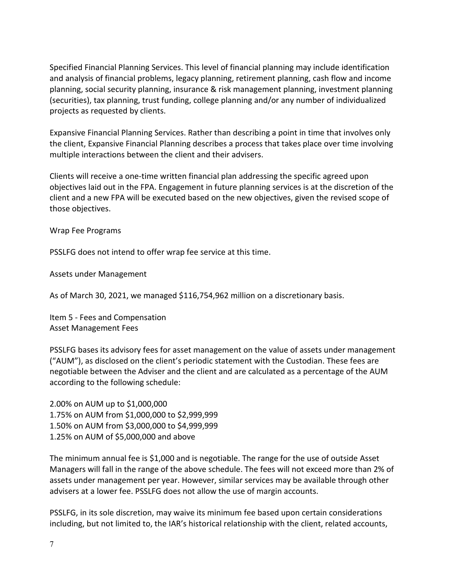Specified Financial Planning Services. This level of financial planning may include identification and analysis of financial problems, legacy planning, retirement planning, cash flow and income planning, social security planning, insurance & risk management planning, investment planning (securities), tax planning, trust funding, college planning and/or any number of individualized projects as requested by clients.

Expansive Financial Planning Services. Rather than describing a point in time that involves only the client, Expansive Financial Planning describes a process that takes place over time involving multiple interactions between the client and their advisers.

Clients will receive a one-time written financial plan addressing the specific agreed upon objectives laid out in the FPA. Engagement in future planning services is at the discretion of the client and a new FPA will be executed based on the new objectives, given the revised scope of those objectives.

Wrap Fee Programs

PSSLFG does not intend to offer wrap fee service at this time.

Assets under Management

As of March 30, 2021, we managed \$116,754,962 million on a discretionary basis.

Item 5 - Fees and Compensation Asset Management Fees

PSSLFG bases its advisory fees for asset management on the value of assets under management ("AUM"), as disclosed on the client's periodic statement with the Custodian. These fees are negotiable between the Adviser and the client and are calculated as a percentage of the AUM according to the following schedule:

2.00% on AUM up to \$1,000,000 1.75% on AUM from \$1,000,000 to \$2,999,999 1.50% on AUM from \$3,000,000 to \$4,999,999 1.25% on AUM of \$5,000,000 and above

The minimum annual fee is \$1,000 and is negotiable. The range for the use of outside Asset Managers will fall in the range of the above schedule. The fees will not exceed more than 2% of assets under management per year. However, similar services may be available through other advisers at a lower fee. PSSLFG does not allow the use of margin accounts.

PSSLFG, in its sole discretion, may waive its minimum fee based upon certain considerations including, but not limited to, the IAR's historical relationship with the client, related accounts,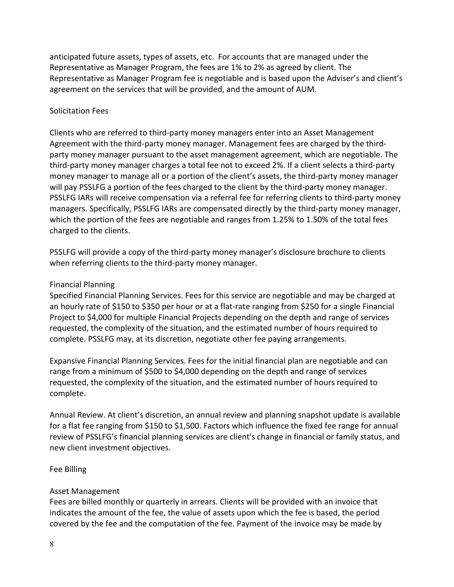anticipated future assets, types of assets, etc. For accounts that are managed under the Representative as Manager Program, the fees are 1% to 2% as agreed by client. The Representative as Manager Program fee is negotiable and is based upon the Adviser's and client's agreement on the services that will be provided, and the amount of AUM.

### Solicitation Fees

Clients who are referred to third-party money managers enter into an Asset Management Agreement with the third-party money manager. Management fees are charged by the thirdparty money manager pursuant to the asset management agreement, which are negotiable. The third-party money manager charges a total fee not to exceed 2%. If a client selects a third-party money manager to manage all or a portion of the client's assets, the third-party money manager will pay PSSLFG a portion of the fees charged to the client by the third-party money manager. PSSLFG IARs will receive compensation via a referral fee for referring clients to third-party money managers. Specifically, PSSLFG IARs are compensated directly by the third-party money manager, which the portion of the fees are negotiable and ranges from 1.25% to 1.50% of the total fees charged to the clients.

PSSLFG will provide a copy of the third-party money manager's disclosure brochure to clients when referring clients to the third-party money manager.

## Financial Planning

Specified Financial Planning Services. Fees for this service are negotiable and may be charged at an hourly rate of \$150 to \$350 per hour or at a flat-rate ranging from \$250 for a single Financial Project to \$4,000 for multiple Financial Projects depending on the depth and range of services requested, the complexity of the situation, and the estimated number of hours required to complete. PSSLFG may, at its discretion, negotiate other fee paying arrangements.

Expansive Financial Planning Services. Fees for the initial financial plan are negotiable and can range from a minimum of \$500 to \$4,000 depending on the depth and range of services requested, the complexity of the situation, and the estimated number of hours required to complete.

Annual Review. At client's discretion, an annual review and planning snapshot update is available for a flat fee ranging from \$150 to \$1,500. Factors which influence the fixed fee range for annual review of PSSLFG's financial planning services are client's change in financial or family status, and new client investment objectives.

# Fee Billing

# Asset Management

Fees are billed monthly or quarterly in arrears. Clients will be provided with an invoice that indicates the amount of the fee, the value of assets upon which the fee is based, the period covered by the fee and the computation of the fee. Payment of the invoice may be made by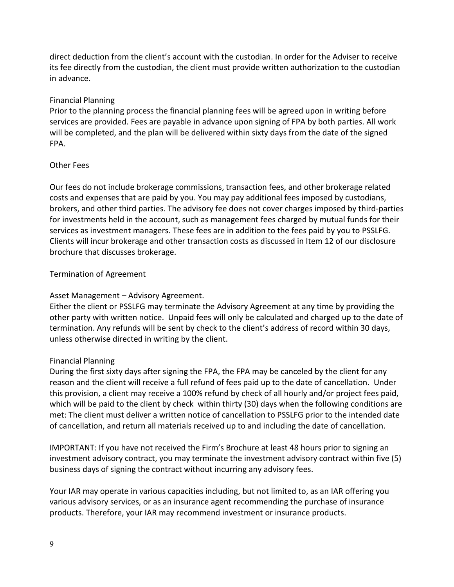direct deduction from the client's account with the custodian. In order for the Adviser to receive its fee directly from the custodian, the client must provide written authorization to the custodian in advance.

## Financial Planning

Prior to the planning process the financial planning fees will be agreed upon in writing before services are provided. Fees are payable in advance upon signing of FPA by both parties. All work will be completed, and the plan will be delivered within sixty days from the date of the signed FPA.

## Other Fees

Our fees do not include brokerage commissions, transaction fees, and other brokerage related costs and expenses that are paid by you. You may pay additional fees imposed by custodians, brokers, and other third parties. The advisory fee does not cover charges imposed by third-parties for investments held in the account, such as management fees charged by mutual funds for their services as investment managers. These fees are in addition to the fees paid by you to PSSLFG. Clients will incur brokerage and other transaction costs as discussed in Item 12 of our disclosure brochure that discusses brokerage.

## Termination of Agreement

# Asset Management – Advisory Agreement.

Either the client or PSSLFG may terminate the Advisory Agreement at any time by providing the other party with written notice. Unpaid fees will only be calculated and charged up to the date of termination. Any refunds will be sent by check to the client's address of record within 30 days, unless otherwise directed in writing by the client.

### Financial Planning

During the first sixty days after signing the FPA, the FPA may be canceled by the client for any reason and the client will receive a full refund of fees paid up to the date of cancellation. Under this provision, a client may receive a 100% refund by check of all hourly and/or project fees paid, which will be paid to the client by check within thirty (30) days when the following conditions are met: The client must deliver a written notice of cancellation to PSSLFG prior to the intended date of cancellation, and return all materials received up to and including the date of cancellation.

IMPORTANT: If you have not received the Firm's Brochure at least 48 hours prior to signing an investment advisory contract, you may terminate the investment advisory contract within five (5) business days of signing the contract without incurring any advisory fees.

Your IAR may operate in various capacities including, but not limited to, as an IAR offering you various advisory services, or as an insurance agent recommending the purchase of insurance products. Therefore, your IAR may recommend investment or insurance products.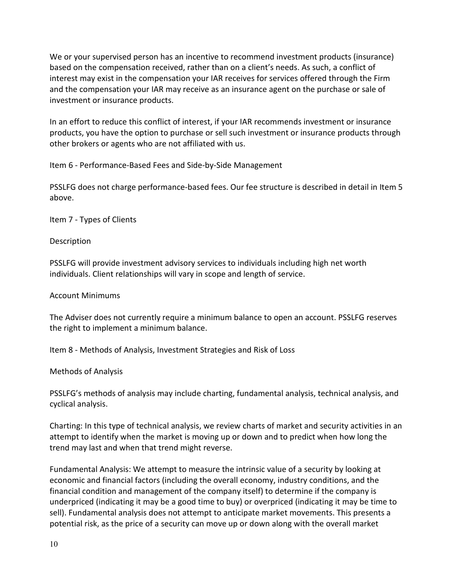We or your supervised person has an incentive to recommend investment products (insurance) based on the compensation received, rather than on a client's needs. As such, a conflict of interest may exist in the compensation your IAR receives for services offered through the Firm and the compensation your IAR may receive as an insurance agent on the purchase or sale of investment or insurance products.

In an effort to reduce this conflict of interest, if your IAR recommends investment or insurance products, you have the option to purchase or sell such investment or insurance products through other brokers or agents who are not affiliated with us.

Item 6 - Performance-Based Fees and Side-by-Side Management

PSSLFG does not charge performance-based fees. Our fee structure is described in detail in Item 5 above.

Item 7 - Types of Clients

**Description** 

PSSLFG will provide investment advisory services to individuals including high net worth individuals. Client relationships will vary in scope and length of service.

### Account Minimums

The Adviser does not currently require a minimum balance to open an account. PSSLFG reserves the right to implement a minimum balance.

Item 8 - Methods of Analysis, Investment Strategies and Risk of Loss

Methods of Analysis

PSSLFG's methods of analysis may include charting, fundamental analysis, technical analysis, and cyclical analysis.

Charting: In this type of technical analysis, we review charts of market and security activities in an attempt to identify when the market is moving up or down and to predict when how long the trend may last and when that trend might reverse.

Fundamental Analysis: We attempt to measure the intrinsic value of a security by looking at economic and financial factors (including the overall economy, industry conditions, and the financial condition and management of the company itself) to determine if the company is underpriced (indicating it may be a good time to buy) or overpriced (indicating it may be time to sell). Fundamental analysis does not attempt to anticipate market movements. This presents a potential risk, as the price of a security can move up or down along with the overall market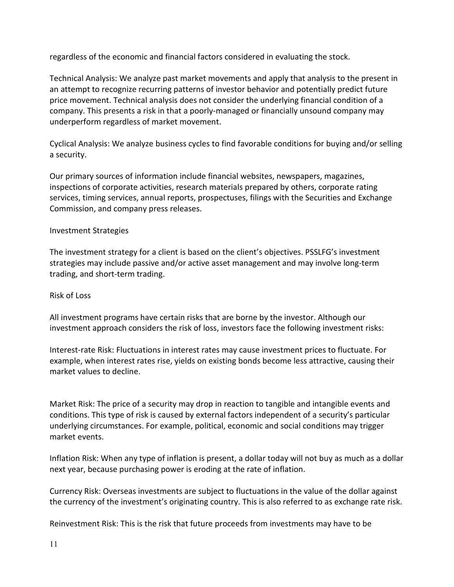regardless of the economic and financial factors considered in evaluating the stock.

Technical Analysis: We analyze past market movements and apply that analysis to the present in an attempt to recognize recurring patterns of investor behavior and potentially predict future price movement. Technical analysis does not consider the underlying financial condition of a company. This presents a risk in that a poorly-managed or financially unsound company may underperform regardless of market movement.

Cyclical Analysis: We analyze business cycles to find favorable conditions for buying and/or selling a security.

Our primary sources of information include financial websites, newspapers, magazines, inspections of corporate activities, research materials prepared by others, corporate rating services, timing services, annual reports, prospectuses, filings with the Securities and Exchange Commission, and company press releases.

# Investment Strategies

The investment strategy for a client is based on the client's objectives. PSSLFG's investment strategies may include passive and/or active asset management and may involve long-term trading, and short-term trading.

## Risk of Loss

All investment programs have certain risks that are borne by the investor. Although our investment approach considers the risk of loss, investors face the following investment risks:

Interest-rate Risk: Fluctuations in interest rates may cause investment prices to fluctuate. For example, when interest rates rise, yields on existing bonds become less attractive, causing their market values to decline.

Market Risk: The price of a security may drop in reaction to tangible and intangible events and conditions. This type of risk is caused by external factors independent of a security's particular underlying circumstances. For example, political, economic and social conditions may trigger market events.

Inflation Risk: When any type of inflation is present, a dollar today will not buy as much as a dollar next year, because purchasing power is eroding at the rate of inflation.

Currency Risk: Overseas investments are subject to fluctuations in the value of the dollar against the currency of the investment's originating country. This is also referred to as exchange rate risk.

Reinvestment Risk: This is the risk that future proceeds from investments may have to be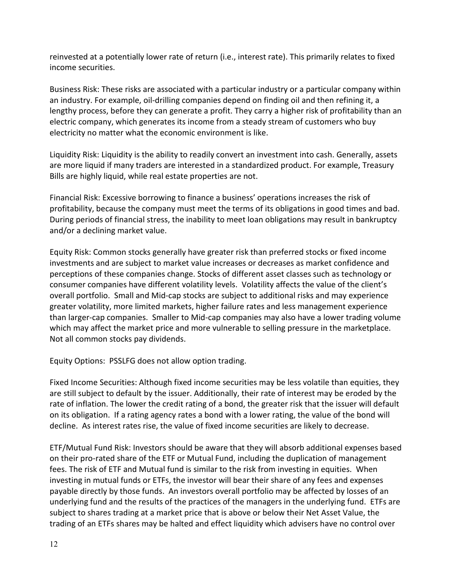reinvested at a potentially lower rate of return (i.e., interest rate). This primarily relates to fixed income securities.

Business Risk: These risks are associated with a particular industry or a particular company within an industry. For example, oil-drilling companies depend on finding oil and then refining it, a lengthy process, before they can generate a profit. They carry a higher risk of profitability than an electric company, which generates its income from a steady stream of customers who buy electricity no matter what the economic environment is like.

Liquidity Risk: Liquidity is the ability to readily convert an investment into cash. Generally, assets are more liquid if many traders are interested in a standardized product. For example, Treasury Bills are highly liquid, while real estate properties are not.

Financial Risk: Excessive borrowing to finance a business' operations increases the risk of profitability, because the company must meet the terms of its obligations in good times and bad. During periods of financial stress, the inability to meet loan obligations may result in bankruptcy and/or a declining market value.

Equity Risk: Common stocks generally have greater risk than preferred stocks or fixed income investments and are subject to market value increases or decreases as market confidence and perceptions of these companies change. Stocks of different asset classes such as technology or consumer companies have different volatility levels. Volatility affects the value of the client's overall portfolio. Small and Mid-cap stocks are subject to additional risks and may experience greater volatility, more limited markets, higher failure rates and less management experience than larger-cap companies. Smaller to Mid-cap companies may also have a lower trading volume which may affect the market price and more vulnerable to selling pressure in the marketplace. Not all common stocks pay dividends.

Equity Options: PSSLFG does not allow option trading.

Fixed Income Securities: Although fixed income securities may be less volatile than equities, they are still subject to default by the issuer. Additionally, their rate of interest may be eroded by the rate of inflation. The lower the credit rating of a bond, the greater risk that the issuer will default on its obligation. If a rating agency rates a bond with a lower rating, the value of the bond will decline. As interest rates rise, the value of fixed income securities are likely to decrease.

ETF/Mutual Fund Risk: Investors should be aware that they will absorb additional expenses based on their pro-rated share of the ETF or Mutual Fund, including the duplication of management fees. The risk of ETF and Mutual fund is similar to the risk from investing in equities. When investing in mutual funds or ETFs, the investor will bear their share of any fees and expenses payable directly by those funds. An investors overall portfolio may be affected by losses of an underlying fund and the results of the practices of the managers in the underlying fund. ETFs are subject to shares trading at a market price that is above or below their Net Asset Value, the trading of an ETFs shares may be halted and effect liquidity which advisers have no control over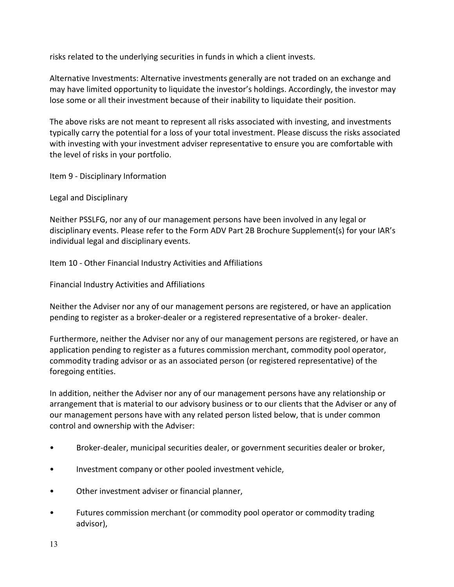risks related to the underlying securities in funds in which a client invests.

Alternative Investments: Alternative investments generally are not traded on an exchange and may have limited opportunity to liquidate the investor's holdings. Accordingly, the investor may lose some or all their investment because of their inability to liquidate their position.

The above risks are not meant to represent all risks associated with investing, and investments typically carry the potential for a loss of your total investment. Please discuss the risks associated with investing with your investment adviser representative to ensure you are comfortable with the level of risks in your portfolio.

Item 9 - Disciplinary Information

Legal and Disciplinary

Neither PSSLFG, nor any of our management persons have been involved in any legal or disciplinary events. Please refer to the Form ADV Part 2B Brochure Supplement(s) for your IAR's individual legal and disciplinary events.

Item 10 - Other Financial Industry Activities and Affiliations

Financial Industry Activities and Affiliations

Neither the Adviser nor any of our management persons are registered, or have an application pending to register as a broker-dealer or a registered representative of a broker- dealer.

Furthermore, neither the Adviser nor any of our management persons are registered, or have an application pending to register as a futures commission merchant, commodity pool operator, commodity trading advisor or as an associated person (or registered representative) of the foregoing entities.

In addition, neither the Adviser nor any of our management persons have any relationship or arrangement that is material to our advisory business or to our clients that the Adviser or any of our management persons have with any related person listed below, that is under common control and ownership with the Adviser:

- Broker-dealer, municipal securities dealer, or government securities dealer or broker,
- Investment company or other pooled investment vehicle,
- Other investment adviser or financial planner,
- Futures commission merchant (or commodity pool operator or commodity trading advisor),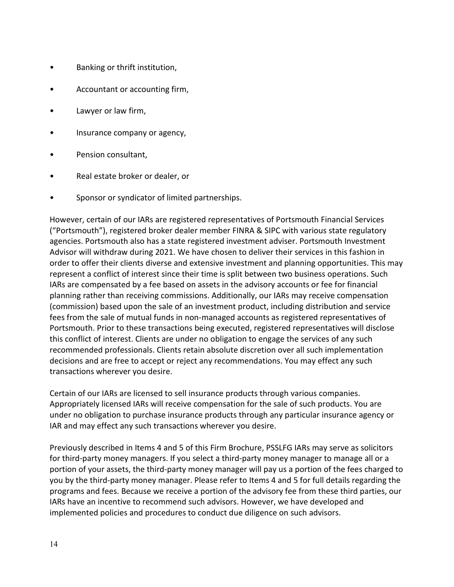- Banking or thrift institution,
- Accountant or accounting firm,
- Lawyer or law firm,
- Insurance company or agency,
- Pension consultant,
- Real estate broker or dealer, or
- Sponsor or syndicator of limited partnerships.

However, certain of our IARs are registered representatives of Portsmouth Financial Services ("Portsmouth"), registered broker dealer member FINRA & SIPC with various state regulatory agencies. Portsmouth also has a state registered investment adviser. Portsmouth Investment Advisor will withdraw during 2021. We have chosen to deliver their services in this fashion in order to offer their clients diverse and extensive investment and planning opportunities. This may represent a conflict of interest since their time is split between two business operations. Such IARs are compensated by a fee based on assets in the advisory accounts or fee for financial planning rather than receiving commissions. Additionally, our IARs may receive compensation (commission) based upon the sale of an investment product, including distribution and service fees from the sale of mutual funds in non-managed accounts as registered representatives of Portsmouth. Prior to these transactions being executed, registered representatives will disclose this conflict of interest. Clients are under no obligation to engage the services of any such recommended professionals. Clients retain absolute discretion over all such implementation decisions and are free to accept or reject any recommendations. You may effect any such transactions wherever you desire.

Certain of our IARs are licensed to sell insurance products through various companies. Appropriately licensed IARs will receive compensation for the sale of such products. You are under no obligation to purchase insurance products through any particular insurance agency or IAR and may effect any such transactions wherever you desire.

Previously described in Items 4 and 5 of this Firm Brochure, PSSLFG IARs may serve as solicitors for third-party money managers. If you select a third-party money manager to manage all or a portion of your assets, the third-party money manager will pay us a portion of the fees charged to you by the third-party money manager. Please refer to Items 4 and 5 for full details regarding the programs and fees. Because we receive a portion of the advisory fee from these third parties, our IARs have an incentive to recommend such advisors. However, we have developed and implemented policies and procedures to conduct due diligence on such advisors.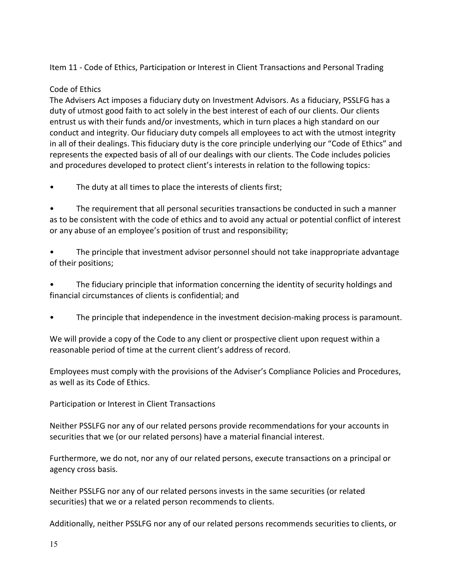Item 11 - Code of Ethics, Participation or Interest in Client Transactions and Personal Trading

# Code of Ethics

The Advisers Act imposes a fiduciary duty on Investment Advisors. As a fiduciary, PSSLFG has a duty of utmost good faith to act solely in the best interest of each of our clients. Our clients entrust us with their funds and/or investments, which in turn places a high standard on our conduct and integrity. Our fiduciary duty compels all employees to act with the utmost integrity in all of their dealings. This fiduciary duty is the core principle underlying our "Code of Ethics" and represents the expected basis of all of our dealings with our clients. The Code includes policies and procedures developed to protect client's interests in relation to the following topics:

• The duty at all times to place the interests of clients first;

• The requirement that all personal securities transactions be conducted in such a manner as to be consistent with the code of ethics and to avoid any actual or potential conflict of interest or any abuse of an employee's position of trust and responsibility;

• The principle that investment advisor personnel should not take inappropriate advantage of their positions;

• The fiduciary principle that information concerning the identity of security holdings and financial circumstances of clients is confidential; and

• The principle that independence in the investment decision-making process is paramount.

We will provide a copy of the Code to any client or prospective client upon request within a reasonable period of time at the current client's address of record.

Employees must comply with the provisions of the Adviser's Compliance Policies and Procedures, as well as its Code of Ethics.

Participation or Interest in Client Transactions

Neither PSSLFG nor any of our related persons provide recommendations for your accounts in securities that we (or our related persons) have a material financial interest.

Furthermore, we do not, nor any of our related persons, execute transactions on a principal or agency cross basis.

Neither PSSLFG nor any of our related persons invests in the same securities (or related securities) that we or a related person recommends to clients.

Additionally, neither PSSLFG nor any of our related persons recommends securities to clients, or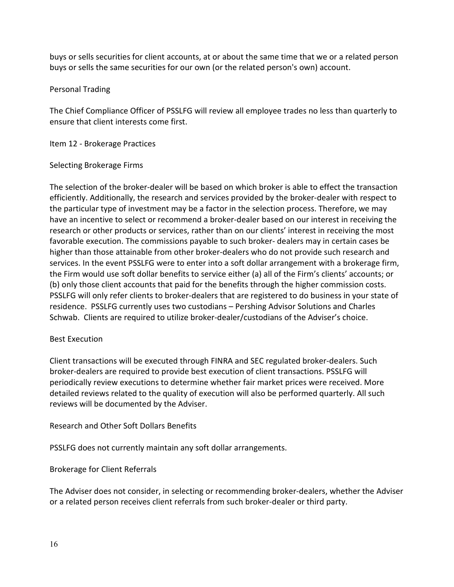buys or sells securities for client accounts, at or about the same time that we or a related person buys or sells the same securities for our own (or the related person's own) account.

### Personal Trading

The Chief Compliance Officer of PSSLFG will review all employee trades no less than quarterly to ensure that client interests come first.

Item 12 - Brokerage Practices

## Selecting Brokerage Firms

The selection of the broker-dealer will be based on which broker is able to effect the transaction efficiently. Additionally, the research and services provided by the broker-dealer with respect to the particular type of investment may be a factor in the selection process. Therefore, we may have an incentive to select or recommend a broker-dealer based on our interest in receiving the research or other products or services, rather than on our clients' interest in receiving the most favorable execution. The commissions payable to such broker- dealers may in certain cases be higher than those attainable from other broker-dealers who do not provide such research and services. In the event PSSLFG were to enter into a soft dollar arrangement with a brokerage firm, the Firm would use soft dollar benefits to service either (a) all of the Firm's clients' accounts; or (b) only those client accounts that paid for the benefits through the higher commission costs. PSSLFG will only refer clients to broker-dealers that are registered to do business in your state of residence. PSSLFG currently uses two custodians – Pershing Advisor Solutions and Charles Schwab. Clients are required to utilize broker-dealer/custodians of the Adviser's choice.

# Best Execution

Client transactions will be executed through FINRA and SEC regulated broker-dealers. Such broker-dealers are required to provide best execution of client transactions. PSSLFG will periodically review executions to determine whether fair market prices were received. More detailed reviews related to the quality of execution will also be performed quarterly. All such reviews will be documented by the Adviser.

Research and Other Soft Dollars Benefits

PSSLFG does not currently maintain any soft dollar arrangements.

Brokerage for Client Referrals

The Adviser does not consider, in selecting or recommending broker-dealers, whether the Adviser or a related person receives client referrals from such broker-dealer or third party.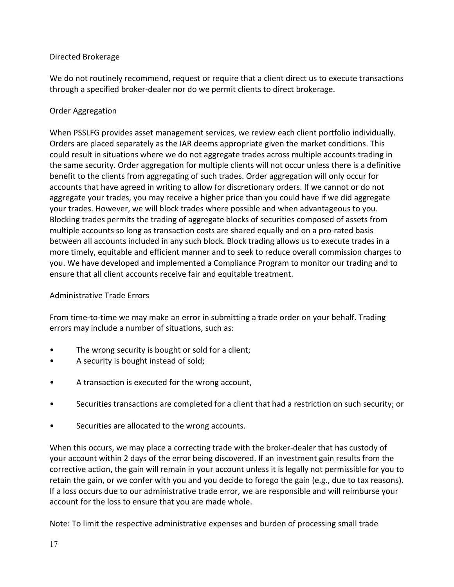# Directed Brokerage

We do not routinely recommend, request or require that a client direct us to execute transactions through a specified broker-dealer nor do we permit clients to direct brokerage.

## Order Aggregation

When PSSLFG provides asset management services, we review each client portfolio individually. Orders are placed separately as the IAR deems appropriate given the market conditions. This could result in situations where we do not aggregate trades across multiple accounts trading in the same security. Order aggregation for multiple clients will not occur unless there is a definitive benefit to the clients from aggregating of such trades. Order aggregation will only occur for accounts that have agreed in writing to allow for discretionary orders. If we cannot or do not aggregate your trades, you may receive a higher price than you could have if we did aggregate your trades. However, we will block trades where possible and when advantageous to you. Blocking trades permits the trading of aggregate blocks of securities composed of assets from multiple accounts so long as transaction costs are shared equally and on a pro-rated basis between all accounts included in any such block. Block trading allows us to execute trades in a more timely, equitable and efficient manner and to seek to reduce overall commission charges to you. We have developed and implemented a Compliance Program to monitor our trading and to ensure that all client accounts receive fair and equitable treatment.

### Administrative Trade Errors

From time-to-time we may make an error in submitting a trade order on your behalf. Trading errors may include a number of situations, such as:

- The wrong security is bought or sold for a client;
- A security is bought instead of sold;
- A transaction is executed for the wrong account,
- Securities transactions are completed for a client that had a restriction on such security; or
- Securities are allocated to the wrong accounts.

When this occurs, we may place a correcting trade with the broker-dealer that has custody of your account within 2 days of the error being discovered. If an investment gain results from the corrective action, the gain will remain in your account unless it is legally not permissible for you to retain the gain, or we confer with you and you decide to forego the gain (e.g., due to tax reasons). If a loss occurs due to our administrative trade error, we are responsible and will reimburse your account for the loss to ensure that you are made whole.

Note: To limit the respective administrative expenses and burden of processing small trade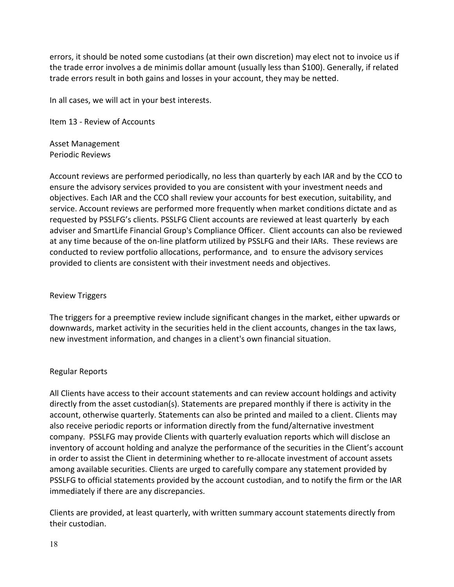errors, it should be noted some custodians (at their own discretion) may elect not to invoice us if the trade error involves a de minimis dollar amount (usually less than \$100). Generally, if related trade errors result in both gains and losses in your account, they may be netted.

In all cases, we will act in your best interests.

Item 13 - Review of Accounts

Asset Management Periodic Reviews

Account reviews are performed periodically, no less than quarterly by each IAR and by the CCO to ensure the advisory services provided to you are consistent with your investment needs and objectives. Each IAR and the CCO shall review your accounts for best execution, suitability, and service. Account reviews are performed more frequently when market conditions dictate and as requested by PSSLFG's clients. PSSLFG Client accounts are reviewed at least quarterly by each adviser and SmartLife Financial Group's Compliance Officer. Client accounts can also be reviewed at any time because of the on-line platform utilized by PSSLFG and their IARs. These reviews are conducted to review portfolio allocations, performance, and to ensure the advisory services provided to clients are consistent with their investment needs and objectives.

### Review Triggers

The triggers for a preemptive review include significant changes in the market, either upwards or downwards, market activity in the securities held in the client accounts, changes in the tax laws, new investment information, and changes in a client's own financial situation.

### Regular Reports

All Clients have access to their account statements and can review account holdings and activity directly from the asset custodian(s). Statements are prepared monthly if there is activity in the account, otherwise quarterly. Statements can also be printed and mailed to a client. Clients may also receive periodic reports or information directly from the fund/alternative investment company. PSSLFG may provide Clients with quarterly evaluation reports which will disclose an inventory of account holding and analyze the performance of the securities in the Client's account in order to assist the Client in determining whether to re-allocate investment of account assets among available securities. Clients are urged to carefully compare any statement provided by PSSLFG to official statements provided by the account custodian, and to notify the firm or the IAR immediately if there are any discrepancies.

Clients are provided, at least quarterly, with written summary account statements directly from their custodian.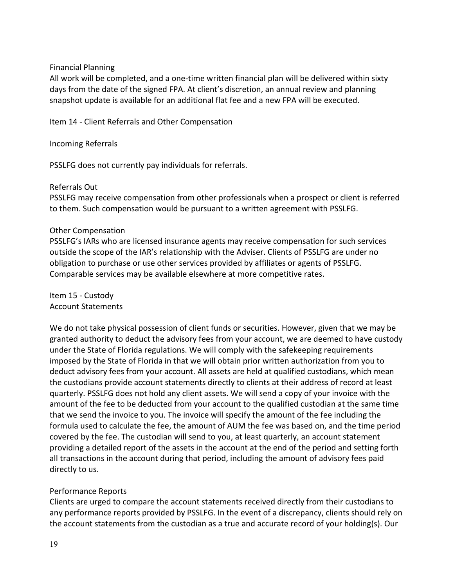## Financial Planning

All work will be completed, and a one-time written financial plan will be delivered within sixty days from the date of the signed FPA. At client's discretion, an annual review and planning snapshot update is available for an additional flat fee and a new FPA will be executed.

Item 14 - Client Referrals and Other Compensation

Incoming Referrals

PSSLFG does not currently pay individuals for referrals.

### Referrals Out

PSSLFG may receive compensation from other professionals when a prospect or client is referred to them. Such compensation would be pursuant to a written agreement with PSSLFG.

## Other Compensation

PSSLFG's IARs who are licensed insurance agents may receive compensation for such services outside the scope of the IAR's relationship with the Adviser. Clients of PSSLFG are under no obligation to purchase or use other services provided by affiliates or agents of PSSLFG. Comparable services may be available elsewhere at more competitive rates.

Item 15 - Custody Account Statements

We do not take physical possession of client funds or securities. However, given that we may be granted authority to deduct the advisory fees from your account, we are deemed to have custody under the State of Florida regulations. We will comply with the safekeeping requirements imposed by the State of Florida in that we will obtain prior written authorization from you to deduct advisory fees from your account. All assets are held at qualified custodians, which mean the custodians provide account statements directly to clients at their address of record at least quarterly. PSSLFG does not hold any client assets. We will send a copy of your invoice with the amount of the fee to be deducted from your account to the qualified custodian at the same time that we send the invoice to you. The invoice will specify the amount of the fee including the formula used to calculate the fee, the amount of AUM the fee was based on, and the time period covered by the fee. The custodian will send to you, at least quarterly, an account statement providing a detailed report of the assets in the account at the end of the period and setting forth all transactions in the account during that period, including the amount of advisory fees paid directly to us.

# Performance Reports

Clients are urged to compare the account statements received directly from their custodians to any performance reports provided by PSSLFG. In the event of a discrepancy, clients should rely on the account statements from the custodian as a true and accurate record of your holding(s). Our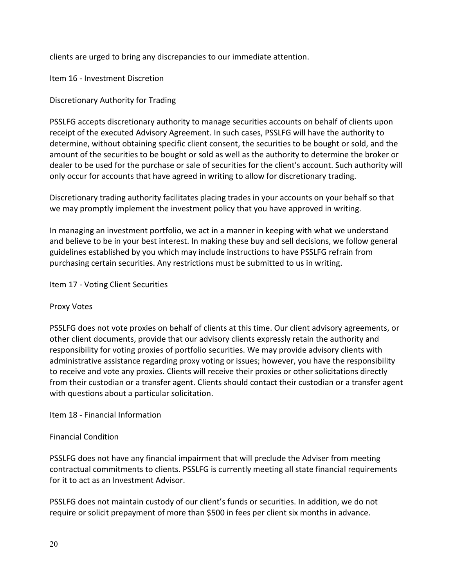clients are urged to bring any discrepancies to our immediate attention.

Item 16 - Investment Discretion

Discretionary Authority for Trading

PSSLFG accepts discretionary authority to manage securities accounts on behalf of clients upon receipt of the executed Advisory Agreement. In such cases, PSSLFG will have the authority to determine, without obtaining specific client consent, the securities to be bought or sold, and the amount of the securities to be bought or sold as well as the authority to determine the broker or dealer to be used for the purchase or sale of securities for the client's account. Such authority will only occur for accounts that have agreed in writing to allow for discretionary trading.

Discretionary trading authority facilitates placing trades in your accounts on your behalf so that we may promptly implement the investment policy that you have approved in writing.

In managing an investment portfolio, we act in a manner in keeping with what we understand and believe to be in your best interest. In making these buy and sell decisions, we follow general guidelines established by you which may include instructions to have PSSLFG refrain from purchasing certain securities. Any restrictions must be submitted to us in writing.

Item 17 - Voting Client Securities

# Proxy Votes

PSSLFG does not vote proxies on behalf of clients at this time. Our client advisory agreements, or other client documents, provide that our advisory clients expressly retain the authority and responsibility for voting proxies of portfolio securities. We may provide advisory clients with administrative assistance regarding proxy voting or issues; however, you have the responsibility to receive and vote any proxies. Clients will receive their proxies or other solicitations directly from their custodian or a transfer agent. Clients should contact their custodian or a transfer agent with questions about a particular solicitation.

Item 18 - Financial Information

# Financial Condition

PSSLFG does not have any financial impairment that will preclude the Adviser from meeting contractual commitments to clients. PSSLFG is currently meeting all state financial requirements for it to act as an Investment Advisor.

PSSLFG does not maintain custody of our client's funds or securities. In addition, we do not require or solicit prepayment of more than \$500 in fees per client six months in advance.